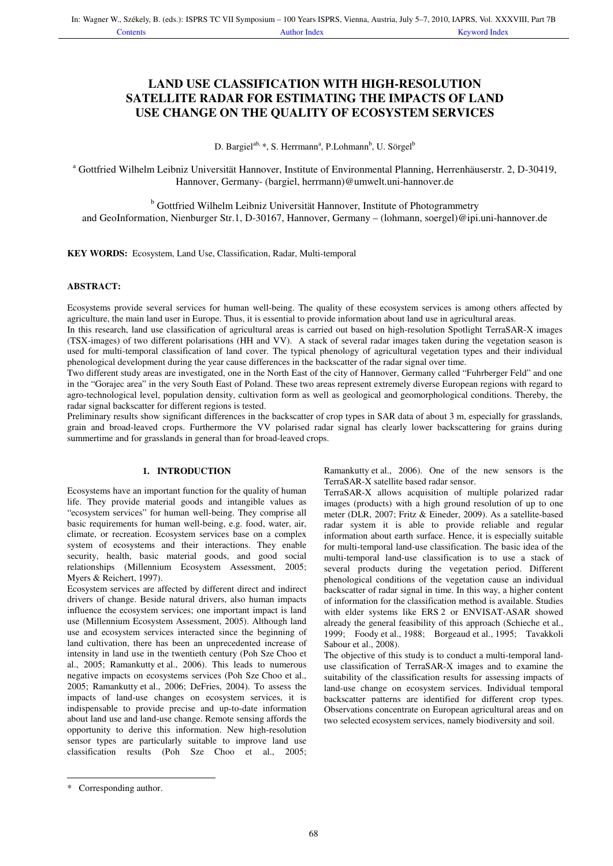# **LAND USE CLASSIFICATION WITH HIGH-RESOLUTION SATELLITE RADAR FOR ESTIMATING THE IMPACTS OF LAND USE CHANGE ON THE QUALITY OF ECOSYSTEM SERVICES**

D. Bargiel<sup>ab, \*</sup>, S. Herrmann<sup>a</sup>, P.Lohmann<sup>b</sup>, U. Sörgel<sup>b</sup>

<sup>a</sup> Gottfried Wilhelm Leibniz Universität Hannover, Institute of Environmental Planning, Herrenhäuserstr. 2, D-30419, Hannover, Germany- (bargiel, herrmann)@umwelt.uni-hannover.de

<sup>b</sup> Gottfried Wilhelm Leibniz Universität Hannover, Institute of Photogrammetry and GeoInformation, Nienburger Str.1, D-30167, Hannover, Germany – (lohmann, soergel)@ipi.uni-hannover.de

**KEY WORDS:** Ecosystem, Land Use, Classification, Radar, Multi-temporal

## **ABSTRACT:**

Ecosystems provide several services for human well-being. The quality of these ecosystem services is among others affected by agriculture, the main land user in Europe. Thus, it is essential to provide information about land use in agricultural areas.

In this research, land use classification of agricultural areas is carried out based on high-resolution Spotlight TerraSAR-X images (TSX-images) of two different polarisations (HH and VV). A stack of several radar images taken during the vegetation season is used for multi-temporal classification of land cover. The typical phenology of agricultural vegetation types and their individual phenological development during the year cause differences in the backscatter of the radar signal over time.

Two different study areas are investigated, one in the North East of the city of Hannover, Germany called "Fuhrberger Feld" and one in the "Gorajec area" in the very South East of Poland. These two areas represent extremely diverse European regions with regard to agro-technological level, population density, cultivation form as well as geological and geomorphological conditions. Thereby, the radar signal backscatter for different regions is tested.

Preliminary results show significant differences in the backscatter of crop types in SAR data of about 3 m, especially for grasslands, grain and broad-leaved crops. Furthermore the VV polarised radar signal has clearly lower backscattering for grains during summertime and for grasslands in general than for broad-leaved crops.

# **1. INTRODUCTION**

Ecosystems have an important function for the quality of human life. They provide material goods and intangible values as "ecosystem services" for human well-being. They comprise all basic requirements for human well-being, e.g. food, water, air, climate, or recreation. Ecosystem services base on a complex system of ecosystems and their interactions. They enable security, health, basic material goods, and good social relationships (Millennium Ecosystem Assessment, 2005; Myers & Reichert, 1997).

Ecosystem services are affected by different direct and indirect drivers of change. Beside natural drivers, also human impacts influence the ecosystem services; one important impact is land use (Millennium Ecosystem Assessment, 2005). Although land use and ecosystem services interacted since the beginning of land cultivation, there has been an unprecedented increase of intensity in land use in the twentieth century (Poh Sze Choo et al., 2005; Ramankutty et al., 2006). This leads to numerous negative impacts on ecosystems services (Poh Sze Choo et al., 2005; Ramankutty et al., 2006; DeFries, 2004). To assess the impacts of land-use changes on ecosystem services, it is indispensable to provide precise and up-to-date information about land use and land-use change. Remote sensing affords the opportunity to derive this information. New high-resolution sensor types are particularly suitable to improve land use classification results (Poh Sze Choo et al., 2005; Ramankutty et al., 2006). One of the new sensors is the TerraSAR-X satellite based radar sensor.

TerraSAR-X allows acquisition of multiple polarized radar images (products) with a high ground resolution of up to one meter (DLR, 2007; Fritz & Eineder, 2009). As a satellite-based radar system it is able to provide reliable and regular information about earth surface. Hence, it is especially suitable for multi-temporal land-use classification. The basic idea of the multi-temporal land-use classification is to use a stack of several products during the vegetation period. Different phenological conditions of the vegetation cause an individual backscatter of radar signal in time. In this way, a higher content of information for the classification method is available. Studies with elder systems like ERS 2 or ENVISAT-ASAR showed already the general feasibility of this approach (Schieche et al., 1999; Foody et al., 1988; Borgeaud et al., 1995; Tavakkoli Sabour et al., 2008).

The objective of this study is to conduct a multi-temporal landuse classification of TerraSAR-X images and to examine the suitability of the classification results for assessing impacts of land-use change on ecosystem services. Individual temporal backscatter patterns are identified for different crop types. Observations concentrate on European agricultural areas and on two selected ecosystem services, namely biodiversity and soil.

j

<sup>\*</sup> Corresponding author.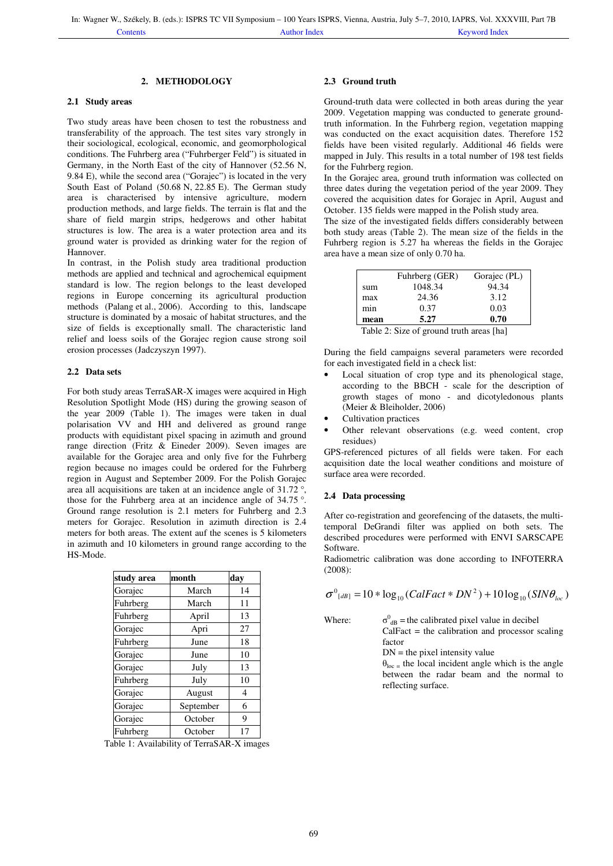### **2. METHODOLOGY**

### **2.1 Study areas**

Two study areas have been chosen to test the robustness and transferability of the approach. The test sites vary strongly in their sociological, ecological, economic, and geomorphological conditions. The Fuhrberg area ("Fuhrberger Feld") is situated in Germany, in the North East of the city of Hannover (52.56 N, 9.84 E), while the second area ("Gorajec") is located in the very South East of Poland (50.68 N, 22.85 E). The German study area is characterised by intensive agriculture, modern production methods, and large fields. The terrain is flat and the share of field margin strips, hedgerows and other habitat structures is low. The area is a water protection area and its ground water is provided as drinking water for the region of Hannover.

In contrast, in the Polish study area traditional production methods are applied and technical and agrochemical equipment standard is low. The region belongs to the least developed regions in Europe concerning its agricultural production methods (Palang et al., 2006). According to this, landscape structure is dominated by a mosaic of habitat structures, and the size of fields is exceptionally small. The characteristic land relief and loess soils of the Gorajec region cause strong soil erosion processes (Jadczyszyn 1997).

### **2.2 Data sets**

For both study areas TerraSAR-X images were acquired in High Resolution Spotlight Mode (HS) during the growing season of the year 2009 (Table 1). The images were taken in dual polarisation VV and HH and delivered as ground range products with equidistant pixel spacing in azimuth and ground range direction (Fritz & Eineder 2009). Seven images are available for the Gorajec area and only five for the Fuhrberg region because no images could be ordered for the Fuhrberg region in August and September 2009. For the Polish Gorajec area all acquisitions are taken at an incidence angle of 31.72 °, those for the Fuhrberg area at an incidence angle of 34.75 °. Ground range resolution is 2.1 meters for Fuhrberg and 2.3 meters for Gorajec. Resolution in azimuth direction is 2.4 meters for both areas. The extent auf the scenes is 5 kilometers in azimuth and 10 kilometers in ground range according to the HS-Mode.

| study area | month     | day |
|------------|-----------|-----|
| Gorajec    | March     | 14  |
| Fuhrberg   | March     | 11  |
| Fuhrberg   | April     | 13  |
| Gorajec    | Apri      | 27  |
| Fuhrberg   | June      | 18  |
| Gorajec    | June      | 10  |
| Gorajec    | July      | 13  |
| Fuhrberg   | July      | 10  |
| Gorajec    | August    | 4   |
| Gorajec    | September | 6   |
| Gorajec    | October   | 9   |
| Fuhrberg   | October   |     |

Table 1: Availability of TerraSAR-X images

#### **2.3 Ground truth**

Ground-truth data were collected in both areas during the year 2009. Vegetation mapping was conducted to generate groundtruth information. In the Fuhrberg region, vegetation mapping was conducted on the exact acquisition dates. Therefore 152 fields have been visited regularly. Additional 46 fields were mapped in July. This results in a total number of 198 test fields for the Fuhrberg region.

In the Gorajec area, ground truth information was collected on three dates during the vegetation period of the year 2009. They covered the acquisition dates for Gorajec in April, August and October. 135 fields were mapped in the Polish study area.

The size of the investigated fields differs considerably between both study areas (Table 2). The mean size of the fields in the Fuhrberg region is 5.27 ha whereas the fields in the Gorajec area have a mean size of only 0.70 ha.

|      | Fuhrberg (GER) | Gorajec (PL) |
|------|----------------|--------------|
| sum  | 1048.34        | 94.34        |
| max  | 24.36          | 3.12         |
| min  | 0.37           | 0.03         |
| mean | 5.27           | 0.70         |

Table 2: Size of ground truth areas [ha]

During the field campaigns several parameters were recorded for each investigated field in a check list:

- Local situation of crop type and its phenological stage, according to the BBCH - scale for the description of growth stages of mono - and dicotyledonous plants (Meier & Bleiholder, 2006)
- Cultivation practices
- Other relevant observations (e.g. weed content, crop residues)

GPS-referenced pictures of all fields were taken. For each acquisition date the local weather conditions and moisture of surface area were recorded.

### **2.4 Data processing**

After co-registration and georefencing of the datasets, the multitemporal DeGrandi filter was applied on both sets. The described procedures were performed with ENVI SARSCAPE Software.

Radiometric calibration was done according to INFOTERRA (2008):

$$
\sigma^{0}_{[dB]} = 10 * \log_{10} (CalFact * DN^{2}) + 10 \log_{10} (SIN\theta_{loc})
$$

Where:

 $^{0}_{\text{dB}}$  = the calibrated pixel value in decibel  $CalFact = the calibration and processor scaling$ factor

 $DN =$  the pixel intensity value

 $\theta_{\text{loc}}$  = the local incident angle which is the angle between the radar beam and the normal to reflecting surface.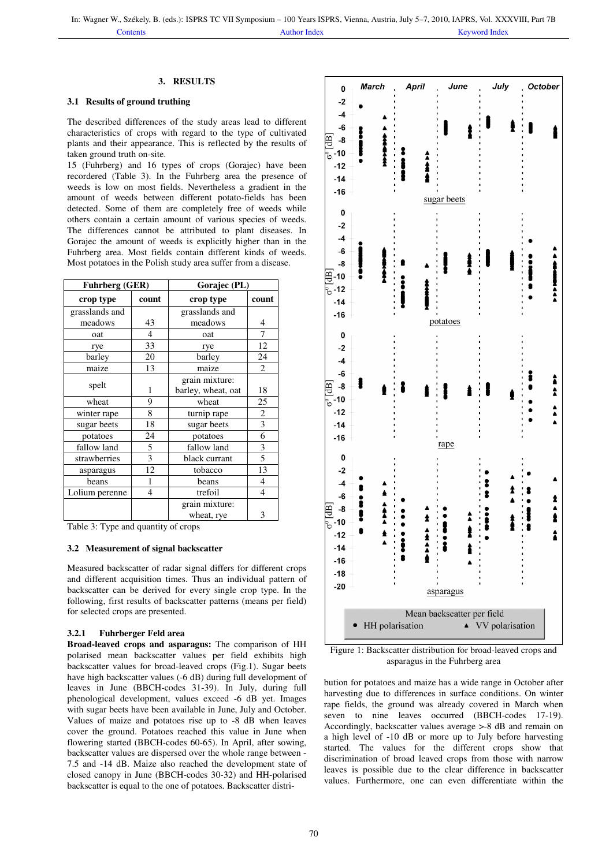# **3. RESULTS**

# **3.1 Results of ground truthing**

The described differences of the study areas lead to different characteristics of crops with regard to the type of cultivated plants and their appearance. This is reflected by the results of taken ground truth on-site.

15 (Fuhrberg) and 16 types of crops (Gorajec) have been recordered (Table 3). In the Fuhrberg area the presence of weeds is low on most fields. Nevertheless a gradient in the amount of weeds between different potato-fields has been detected. Some of them are completely free of weeds while others contain a certain amount of various species of weeds. The differences cannot be attributed to plant diseases. In Gorajec the amount of weeds is explicitly higher than in the Fuhrberg area. Most fields contain different kinds of weeds. Most potatoes in the Polish study area suffer from a disease.

| <b>Fuhrberg (GER)</b> |                | Gorajec (PL)       |                |
|-----------------------|----------------|--------------------|----------------|
| crop type             | count          | crop type          | count          |
| grasslands and        |                | grasslands and     |                |
| meadows               | 43             | meadows            | 4              |
| oat                   | 4              | oat                | 7              |
| rye                   | 33             | rye                | 12             |
| barley                | 20             | barley             | 24             |
| maize                 | 13             | maize              | $\overline{c}$ |
| spelt                 |                | grain mixture:     |                |
|                       | 1              | barley, wheat, oat | 18             |
| wheat                 | 9              | wheat              | 25             |
| winter rape           | 8              | turnip rape        | $\overline{2}$ |
| sugar beets           | 18             | sugar beets        | $\overline{3}$ |
| potatoes              | 24             | potatoes           | 6              |
| fallow land           | 5              | fallow land        | 3              |
| strawberries          | 3              | black currant      | 5              |
| asparagus             | 12             | tobacco            | 13             |
| beans                 | 1              | beans              | 4              |
| Lolium perenne        | $\overline{4}$ | trefoil            | 4              |
|                       |                | grain mixture:     |                |
|                       |                | wheat, rye         | 3              |

Table 3: Type and quantity of crops

### **3.2 Measurement of signal backscatter**

Measured backscatter of radar signal differs for different crops and different acquisition times. Thus an individual pattern of backscatter can be derived for every single crop type. In the following, first results of backscatter patterns (means per field) for selected crops are presented.

#### **3.2.1 Fuhrberger Feld area**

**Broad-leaved crops and asparagus:** The comparison of HH polarised mean backscatter values per field exhibits high backscatter values for broad-leaved crops (Fig.1). Sugar beets have high backscatter values (-6 dB) during full development of leaves in June (BBCH-codes 31-39). In July, during full phenological development, values exceed -6 dB yet. Images with sugar beets have been available in June, July and October. Values of maize and potatoes rise up to -8 dB when leaves cover the ground. Potatoes reached this value in June when flowering started (BBCH-codes 60-65). In April, after sowing, backscatter values are dispersed over the whole range between - 7.5 and -14 dB. Maize also reached the development state of closed canopy in June (BBCH-codes 30-32) and HH-polarised backscatter is equal to the one of potatoes. Backscatter distri-



Figure 1: Backscatter distribution for broad-leaved crops and asparagus in the Fuhrberg area

bution for potatoes and maize has a wide range in October after harvesting due to differences in surface conditions. On winter rape fields, the ground was already covered in March when seven to nine leaves occurred (BBCH-codes 17-19). Accordingly, backscatter values average >-8 dB and remain on a high level of -10 dB or more up to July before harvesting started. The values for the different crops show that discrimination of broad leaved crops from those with narrow leaves is possible due to the clear difference in backscatter values. Furthermore, one can even differentiate within the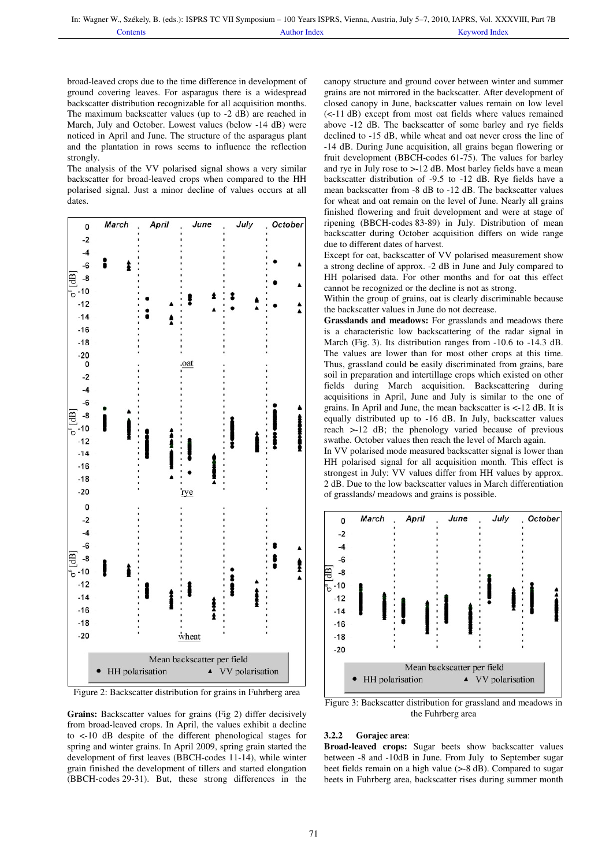broad-leaved crops due to the time difference in development of ground covering leaves. For asparagus there is a widespread backscatter distribution recognizable for all acquisition months. The maximum backscatter values (up to -2 dB) are reached in March, July and October. Lowest values (below -14 dB) were noticed in April and June. The structure of the asparagus plant and the plantation in rows seems to influence the reflection strongly.

The analysis of the VV polarised signal shows a very similar backscatter for broad-leaved crops when compared to the HH polarised signal. Just a minor decline of values occurs at all dates.



Figure 2: Backscatter distribution for grains in Fuhrberg area

**Grains:** Backscatter values for grains (Fig 2) differ decisively from broad-leaved crops. In April, the values exhibit a decline to <-10 dB despite of the different phenological stages for spring and winter grains. In April 2009, spring grain started the development of first leaves (BBCH-codes 11-14), while winter grain finished the development of tillers and started elongation (BBCH-codes 29-31). But, these strong differences in the

canopy structure and ground cover between winter and summer grains are not mirrored in the backscatter. After development of closed canopy in June, backscatter values remain on low level (<-11 dB) except from most oat fields where values remained above -12 dB. The backscatter of some barley and rye fields declined to -15 dB, while wheat and oat never cross the line of -14 dB. During June acquisition, all grains began flowering or fruit development (BBCH-codes 61-75). The values for barley and rye in July rose to >-12 dB. Most barley fields have a mean backscatter distribution of -9.5 to -12 dB. Rye fields have a mean backscatter from -8 dB to -12 dB. The backscatter values for wheat and oat remain on the level of June. Nearly all grains finished flowering and fruit development and were at stage of ripening (BBCH-codes 83-89) in July. Distribution of mean backscatter during October acquisition differs on wide range due to different dates of harvest.

Except for oat, backscatter of VV polarised measurement show a strong decline of approx. -2 dB in June and July compared to HH polarised data. For other months and for oat this effect cannot be recognized or the decline is not as strong.

Within the group of grains, oat is clearly discriminable because the backscatter values in June do not decrease.

**Grasslands and meadows:** For grasslands and meadows there is a characteristic low backscattering of the radar signal in March (Fig. 3). Its distribution ranges from -10.6 to -14.3 dB. The values are lower than for most other crops at this time. Thus, grassland could be easily discriminated from grains, bare soil in preparation and intertillage crops which existed on other fields during March acquisition. Backscattering during acquisitions in April, June and July is similar to the one of grains. In April and June, the mean backscatter is <-12 dB. It is equally distributed up to -16 dB. In July, backscatter values reach >-12 dB; the phenology varied because of previous swathe. October values then reach the level of March again.

In VV polarised mode measured backscatter signal is lower than HH polarised signal for all acquisition month. This effect is strongest in July: VV values differ from HH values by approx. 2 dB. Due to the low backscatter values in March differentiation of grasslands/ meadows and grains is possible.



Figure 3: Backscatter distribution for grassland and meadows in the Fuhrberg area

### **3.2.2 Gorajec area**:

**Broad-leaved crops:** Sugar beets show backscatter values between -8 and -10dB in June. From July to September sugar beet fields remain on a high value (>-8 dB). Compared to sugar beets in Fuhrberg area, backscatter rises during summer month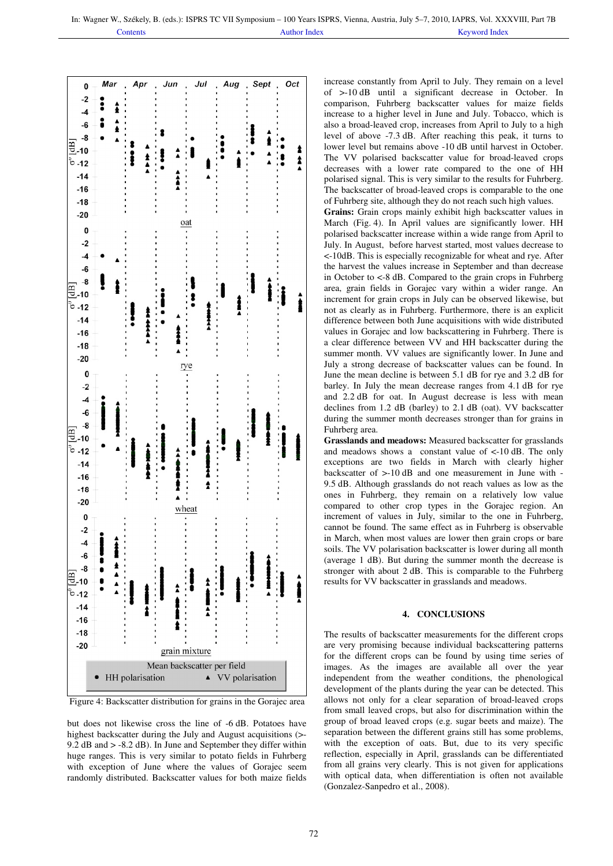

Figure 4: Backscatter distribution for grains in the Gorajec area

but does not likewise cross the line of -6 dB. Potatoes have highest backscatter during the July and August acquisitions (>- 9.2 dB and > -8.2 dB). In June and September they differ within huge ranges. This is very similar to potato fields in Fuhrberg with exception of June where the values of Gorajec seem randomly distributed. Backscatter values for both maize fields increase constantly from April to July. They remain on a level of >-10 dB until a significant decrease in October. In comparison, Fuhrberg backscatter values for maize fields increase to a higher level in June and July. Tobacco, which is also a broad-leaved crop, increases from April to July to a high level of above -7.3 dB. After reaching this peak, it turns to lower level but remains above -10 dB until harvest in October. The VV polarised backscatter value for broad-leaved crops decreases with a lower rate compared to the one of HH polarised signal. This is very similar to the results for Fuhrberg. The backscatter of broad-leaved crops is comparable to the one of Fuhrberg site, although they do not reach such high values.

**Grains:** Grain crops mainly exhibit high backscatter values in March (Fig. 4). In April values are significantly lower. HH polarised backscatter increase within a wide range from April to July. In August, before harvest started, most values decrease to <-10dB. This is especially recognizable for wheat and rye. After the harvest the values increase in September and than decrease in October to <-8 dB. Compared to the grain crops in Fuhrberg area, grain fields in Gorajec vary within a wider range. An increment for grain crops in July can be observed likewise, but not as clearly as in Fuhrberg. Furthermore, there is an explicit difference between both June acquisitions with wide distributed values in Gorajec and low backscattering in Fuhrberg. There is a clear difference between VV and HH backscatter during the summer month. VV values are significantly lower. In June and July a strong decrease of backscatter values can be found. In June the mean decline is between 5.1 dB for rye and 3.2 dB for barley. In July the mean decrease ranges from 4.1 dB for rye and 2.2 dB for oat. In August decrease is less with mean declines from 1.2 dB (barley) to 2.1 dB (oat). VV backscatter during the summer month decreases stronger than for grains in Fuhrberg area.

**Grasslands and meadows:** Measured backscatter for grasslands and meadows shows a constant value of <-10 dB. The only exceptions are two fields in March with clearly higher backscatter of >-10 dB and one measurement in June with - 9.5 dB. Although grasslands do not reach values as low as the ones in Fuhrberg, they remain on a relatively low value compared to other crop types in the Gorajec region. An increment of values in July, similar to the one in Fuhrberg, cannot be found. The same effect as in Fuhrberg is observable in March, when most values are lower then grain crops or bare soils. The VV polarisation backscatter is lower during all month (average 1 dB). But during the summer month the decrease is stronger with about 2 dB. This is comparable to the Fuhrberg results for VV backscatter in grasslands and meadows.

### **4. CONCLUSIONS**

The results of backscatter measurements for the different crops are very promising because individual backscattering patterns for the different crops can be found by using time series of images. As the images are available all over the year independent from the weather conditions, the phenological development of the plants during the year can be detected. This allows not only for a clear separation of broad-leaved crops from small leaved crops, but also for discrimination within the group of broad leaved crops (e.g. sugar beets and maize). The separation between the different grains still has some problems, with the exception of oats. But, due to its very specific reflection, especially in April, grasslands can be differentiated from all grains very clearly. This is not given for applications with optical data, when differentiation is often not available (Gonzalez-Sanpedro et al., 2008).